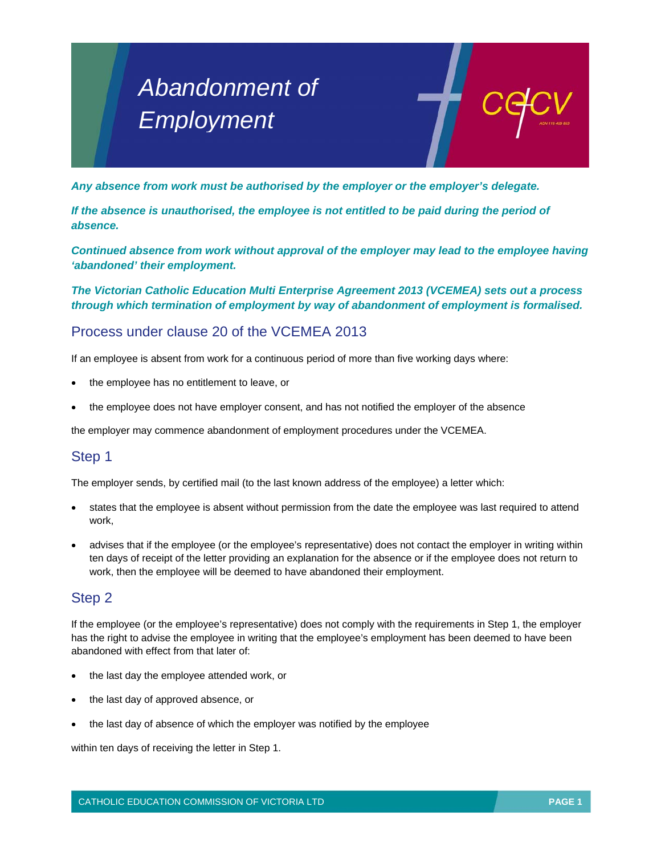# *Abandonment of Employment*

*Any absence from work must be authorised by the employer or the employer's delegate.* 

*If the absence is unauthorised, the employee is not entitled to be paid during the period of absence.* 

*Continued absence from work without approval of the employer may lead to the employee having 'abandoned' their employment.* 

*The Victorian Catholic Education Multi Enterprise Agreement 2013 (VCEMEA) sets out a process through which termination of employment by way of abandonment of employment is formalised.* 

## Process under clause 20 of the VCEMEA 2013

If an employee is absent from work for a continuous period of more than five working days where:

- the employee has no entitlement to leave, or
- the employee does not have employer consent, and has not notified the employer of the absence

the employer may commence abandonment of employment procedures under the VCEMEA.

#### Step 1

The employer sends, by certified mail (to the last known address of the employee) a letter which:

- states that the employee is absent without permission from the date the employee was last required to attend work,
- advises that if the employee (or the employee's representative) does not contact the employer in writing within ten days of receipt of the letter providing an explanation for the absence or if the employee does not return to work, then the employee will be deemed to have abandoned their employment.

### Step 2

If the employee (or the employee's representative) does not comply with the requirements in Step 1, the employer has the right to advise the employee in writing that the employee's employment has been deemed to have been abandoned with effect from that later of:

- the last day the employee attended work, or
- the last day of approved absence, or
- the last day of absence of which the employer was notified by the employee

within ten days of receiving the letter in Step 1.